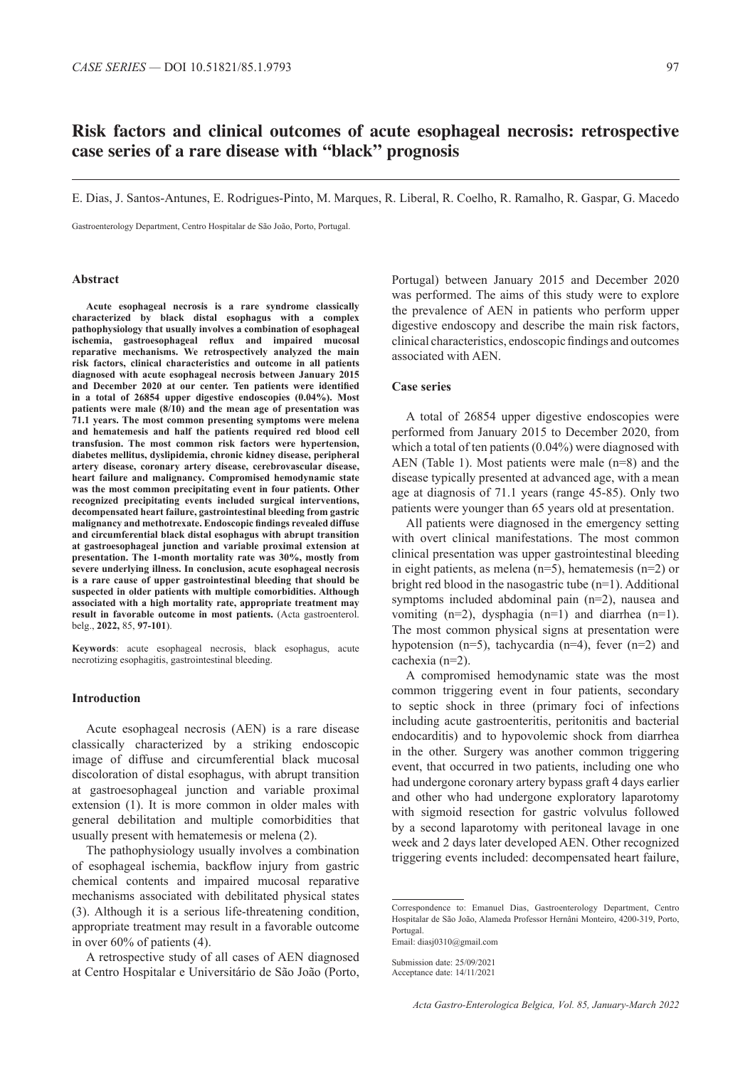# **Risk factors and clinical outcomes of acute esophageal necrosis: retrospective case series of a rare disease with "black" prognosis**

E. Dias, J. Santos-Antunes, E. Rodrigues-Pinto, M. Marques, R. Liberal, R. Coelho, R. Ramalho, R. Gaspar, G. Macedo

Gastroenterology Department, Centro Hospitalar de São João, Porto, Portugal.

#### **Abstract**

**Acute esophageal necrosis is a rare syndrome classically characterized by black distal esophagus with a complex pathophysiology that usually involves a combination of esophageal ischemia, gastroesophageal reflux and impaired mucosal reparative mechanisms. We retrospectively analyzed the main risk factors, clinical characteristics and outcome in all patients diagnosed with acute esophageal necrosis between January 2015 and December 2020 at our center. Ten patients were identified in a total of 26854 upper digestive endoscopies (0.04%). Most patients were male (8/10) and the mean age of presentation was 71.1 years. The most common presenting symptoms were melena and hematemesis and half the patients required red blood cell transfusion. The most common risk factors were hypertension, diabetes mellitus, dyslipidemia, chronic kidney disease, peripheral artery disease, coronary artery disease, cerebrovascular disease, heart failure and malignancy. Compromised hemodynamic state was the most common precipitating event in four patients. Other recognized precipitating events included surgical interventions, decompensated heart failure, gastrointestinal bleeding from gastric malignancy and methotrexate. Endoscopic findings revealed diffuse and circumferential black distal esophagus with abrupt transition at gastroesophageal junction and variable proximal extension at presentation. The 1-month mortality rate was 30%, mostly from severe underlying illness. In conclusion, acute esophageal necrosis is a rare cause of upper gastrointestinal bleeding that should be suspected in older patients with multiple comorbidities. Although associated with a high mortality rate, appropriate treatment may**  result in favorable outcome in most patients. (Acta gastroenterol. belg., **2022,** 85, **97-101**).

**Keywords**: acute esophageal necrosis, black esophagus, acute necrotizing esophagitis, gastrointestinal bleeding.

### **Introduction**

Acute esophageal necrosis (AEN) is a rare disease classically characterized by a striking endoscopic image of diffuse and circumferential black mucosal discoloration of distal esophagus, with abrupt transition at gastroesophageal junction and variable proximal extension (1). It is more common in older males with general debilitation and multiple comorbidities that usually present with hematemesis or melena (2).

The pathophysiology usually involves a combination of esophageal ischemia, backflow injury from gastric chemical contents and impaired mucosal reparative mechanisms associated with debilitated physical states (3). Although it is a serious life-threatening condition, appropriate treatment may result in a favorable outcome in over 60% of patients (4).

A retrospective study of all cases of AEN diagnosed at Centro Hospitalar e Universitário de São João (Porto, Portugal) between January 2015 and December 2020 was performed. The aims of this study were to explore the prevalence of AEN in patients who perform upper digestive endoscopy and describe the main risk factors, clinical characteristics, endoscopic findings and outcomes associated with AEN.

#### **Case series**

A total of 26854 upper digestive endoscopies were performed from January 2015 to December 2020, from which a total of ten patients  $(0.04\%)$  were diagnosed with AEN (Table 1). Most patients were male (n=8) and the disease typically presented at advanced age, with a mean age at diagnosis of 71.1 years (range 45-85). Only two patients were younger than 65 years old at presentation.

All patients were diagnosed in the emergency setting with overt clinical manifestations. The most common clinical presentation was upper gastrointestinal bleeding in eight patients, as melena (n=5), hematemesis (n=2) or bright red blood in the nasogastric tube (n=1). Additional symptoms included abdominal pain (n=2), nausea and vomiting  $(n=2)$ , dysphagia  $(n=1)$  and diarrhea  $(n=1)$ . The most common physical signs at presentation were hypotension (n=5), tachycardia (n=4), fever (n=2) and cachexia (n=2).

A compromised hemodynamic state was the most common triggering event in four patients, secondary to septic shock in three (primary foci of infections including acute gastroenteritis, peritonitis and bacterial endocarditis) and to hypovolemic shock from diarrhea in the other. Surgery was another common triggering event, that occurred in two patients, including one who had undergone coronary artery bypass graft 4 days earlier and other who had undergone exploratory laparotomy with sigmoid resection for gastric volvulus followed by a second laparotomy with peritoneal lavage in one week and 2 days later developed AEN. Other recognized triggering events included: decompensated heart failure,

Correspondence to: Emanuel Dias, Gastroenterology Department, Centro Hospitalar de São João, Alameda Professor Hernâni Monteiro, 4200-319, Porto, Portugal.

Email: diasj0310@gmail.com

Submission date: 25/09/2021 Acceptance date: 14/11/2021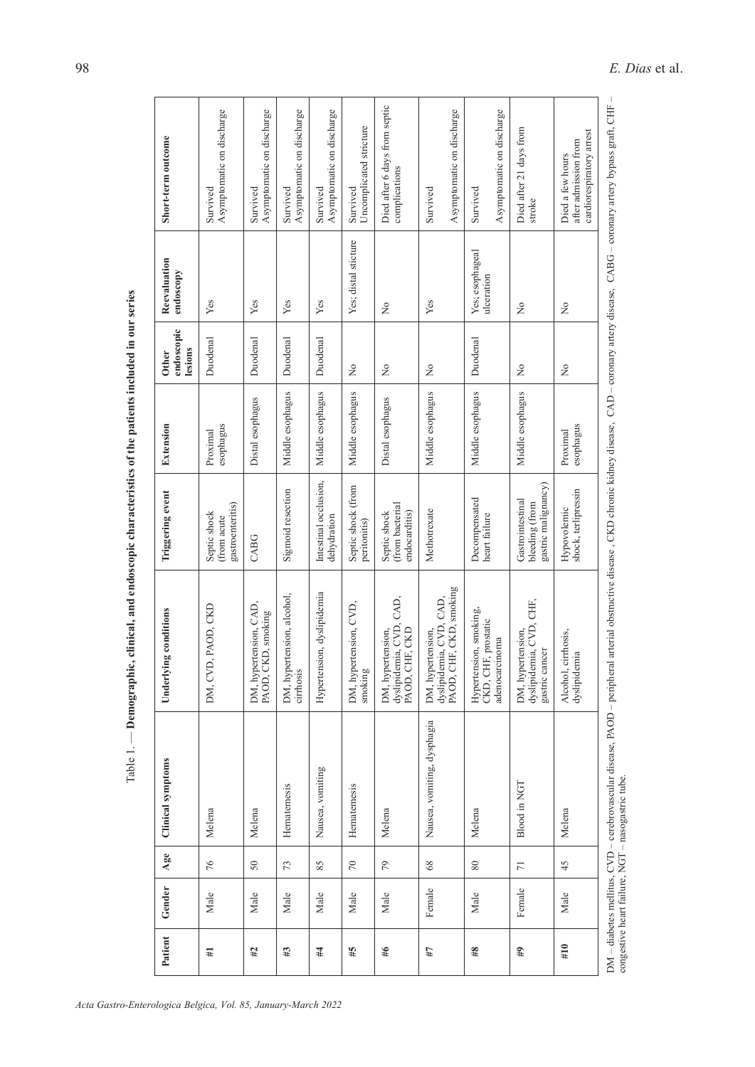| Patient        | Gender | Age             | <b>Clinical symptoms</b>    | ng conditions<br>Underlyin                                              | Triggering event                                          | Extension             | endoscopic<br>lesions<br><b>Other</b> | Reevaluation<br>endoscopy     | Short-term outcome                                                   |
|----------------|--------|-----------------|-----------------------------|-------------------------------------------------------------------------|-----------------------------------------------------------|-----------------------|---------------------------------------|-------------------------------|----------------------------------------------------------------------|
| Ħ,             | Male   | 76              | Melena                      | DM, CVD, PAOD, CKD                                                      | gastroenteritis)<br>Septic shock<br>(from acute           | esophagus<br>Proximal | Duodenal                              | Yes                           | Asymptomatic on discharge<br>Survived                                |
| #2             | Male   | 50              | Melena                      | DM, hypertension, CAD,<br>PAOD, CKD, smoking                            | CABG                                                      | Distal esophagus      | Duodenal                              | Yes                           | Asymptomatic on discharge<br>Survived                                |
| $\sharp\sharp$ | Male   | 73              | Hematemesis                 | DM, hypertension, alcohol,<br>cirrhosis                                 | Sigmoid resection                                         | Middle esophagus      | Duodenal                              | Yes                           | Asymptomatic on discharge<br>Survived                                |
| #              | Male   | 85              | Nausea, vomiting            | Hypertension, dyslipidemia                                              | Intestinal occlusion,<br>dehydration                      | Middle esophagus      | Duodenal                              | Yes                           | Asymptomatic on discharge<br>Survived                                |
| #5             | Male   | $70\,$          | Hematemesis                 | DM, hypertension, CVD,<br>smoking                                       | Septic shock (from<br>peritonitis)                        | Middle esophagus      | $\tilde{z}$                           | Yes; distal sticture          | Uncomplicated stricture<br>Survived                                  |
| 46             | Male   | 79              | Melena                      | dyslipidemia, CVD, CAD,<br>PAOD, CHF, CKD<br>DM, hypertension,          | (from bacterial<br>endocarditis)<br>Septic shock          | Distal esophagus      | $\tilde{z}$                           | $\geq$                        | Died after 6 days from septic<br>complications                       |
| 47             | Female | $68\,$          | Nausea, vomiting, dysphagia | PAOD, CHF, CKD, smoking<br>dyslipidemia, CVD, CAD,<br>DM, hypertension, | Methotrexate                                              | Middle esophagus      | $\overline{\mathsf{X}}$               | Yes                           | Asymptomatic on discharge<br>Survived                                |
| $\#8$          | Male   | $\rm 80$        | Melena                      | Hypertension, smoking,<br>CKD, CHF, prostatic<br>adenocarcinoma         | Decompensated<br>heart failure                            | Middle esophagus      | Duodenal                              | Yes; esophageal<br>ulceration | Asymptomatic on discharge<br>Survived                                |
| 44             | Female | $\overline{7}1$ | Blood in NGT                | dyslipidemia, CVD, CHF,<br>DM, hypertension,<br>gastric cancer          | gastric malignancy)<br>Gastrointestinal<br>bleeding (from | Middle esophagus      | $\tilde{z}$                           | $\gtrsim$                     | Died after 21 days from<br>stroke                                    |
| #10            | Male   | 45              | Melena                      | Alcohol, cirrhosis,<br>dyslipidemia                                     | Hypovolemic<br>shock, terlipressin                        | esophagus<br>Proximal | $\tilde{z}$                           | $\tilde{z}$                   | cardiorespiratory arrest<br>after admission from<br>Died a few hours |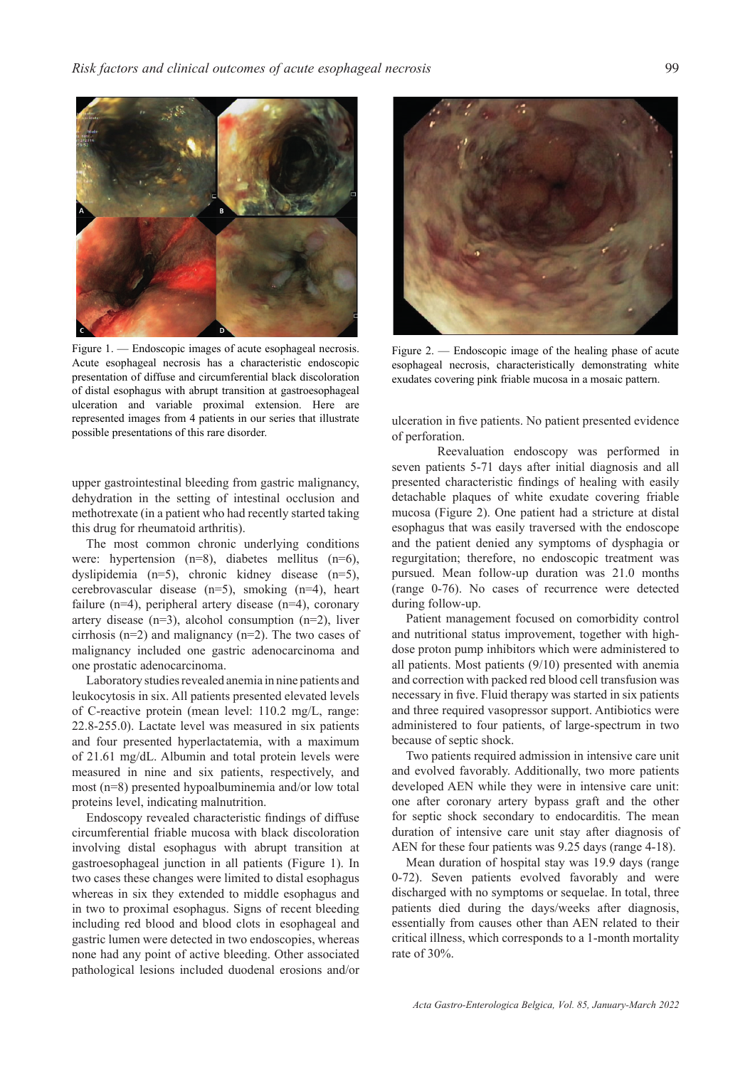

Figure 1. — Endoscopic images of acute esophageal necrosis. Acute esophageal necrosis has a characteristic endoscopic presentation of diffuse and circumferential black discoloration of distal esophagus with abrupt transition at gastroesophageal ulceration and variable proximal extension. Here are represented images from 4 patients in our series that illustrate possible presentations of this rare disorder.

upper gastrointestinal bleeding from gastric malignancy, dehydration in the setting of intestinal occlusion and methotrexate (in a patient who had recently started taking this drug for rheumatoid arthritis).

The most common chronic underlying conditions were: hypertension (n=8), diabetes mellitus (n=6), dyslipidemia (n=5), chronic kidney disease (n=5), cerebrovascular disease (n=5), smoking (n=4), heart failure (n=4), peripheral artery disease (n=4), coronary artery disease  $(n=3)$ , alcohol consumption  $(n=2)$ , liver cirrhosis (n=2) and malignancy (n=2). The two cases of malignancy included one gastric adenocarcinoma and one prostatic adenocarcinoma.

Laboratory studies revealed anemia in nine patients and leukocytosis in six. All patients presented elevated levels of C-reactive protein (mean level: 110.2 mg/L, range: 22.8-255.0). Lactate level was measured in six patients and four presented hyperlactatemia, with a maximum of 21.61 mg/dL. Albumin and total protein levels were measured in nine and six patients, respectively, and most (n=8) presented hypoalbuminemia and/or low total proteins level, indicating malnutrition.

Endoscopy revealed characteristic findings of diffuse circumferential friable mucosa with black discoloration involving distal esophagus with abrupt transition at gastroesophageal junction in all patients (Figure 1). In two cases these changes were limited to distal esophagus whereas in six they extended to middle esophagus and in two to proximal esophagus. Signs of recent bleeding including red blood and blood clots in esophageal and gastric lumen were detected in two endoscopies, whereas none had any point of active bleeding. Other associated pathological lesions included duodenal erosions and/or



Figure 2. — Endoscopic image of the healing phase of acute esophageal necrosis, characteristically demonstrating white exudates covering pink friable mucosa in a mosaic pattern.

ulceration in five patients. No patient presented evidence of perforation.

Reevaluation endoscopy was performed in seven patients 5-71 days after initial diagnosis and all presented characteristic findings of healing with easily detachable plaques of white exudate covering friable mucosa (Figure 2). One patient had a stricture at distal esophagus that was easily traversed with the endoscope and the patient denied any symptoms of dysphagia or regurgitation; therefore, no endoscopic treatment was pursued. Mean follow-up duration was 21.0 months (range 0-76). No cases of recurrence were detected during follow-up.

Patient management focused on comorbidity control and nutritional status improvement, together with highdose proton pump inhibitors which were administered to all patients. Most patients (9/10) presented with anemia and correction with packed red blood cell transfusion was necessary in five. Fluid therapy was started in six patients and three required vasopressor support. Antibiotics were administered to four patients, of large-spectrum in two because of septic shock.

Two patients required admission in intensive care unit and evolved favorably. Additionally, two more patients developed AEN while they were in intensive care unit: one after coronary artery bypass graft and the other for septic shock secondary to endocarditis. The mean duration of intensive care unit stay after diagnosis of AEN for these four patients was 9.25 days (range 4-18).

Mean duration of hospital stay was 19.9 days (range 0-72). Seven patients evolved favorably and were discharged with no symptoms or sequelae. In total, three patients died during the days/weeks after diagnosis, essentially from causes other than AEN related to their critical illness, which corresponds to a 1-month mortality rate of 30%.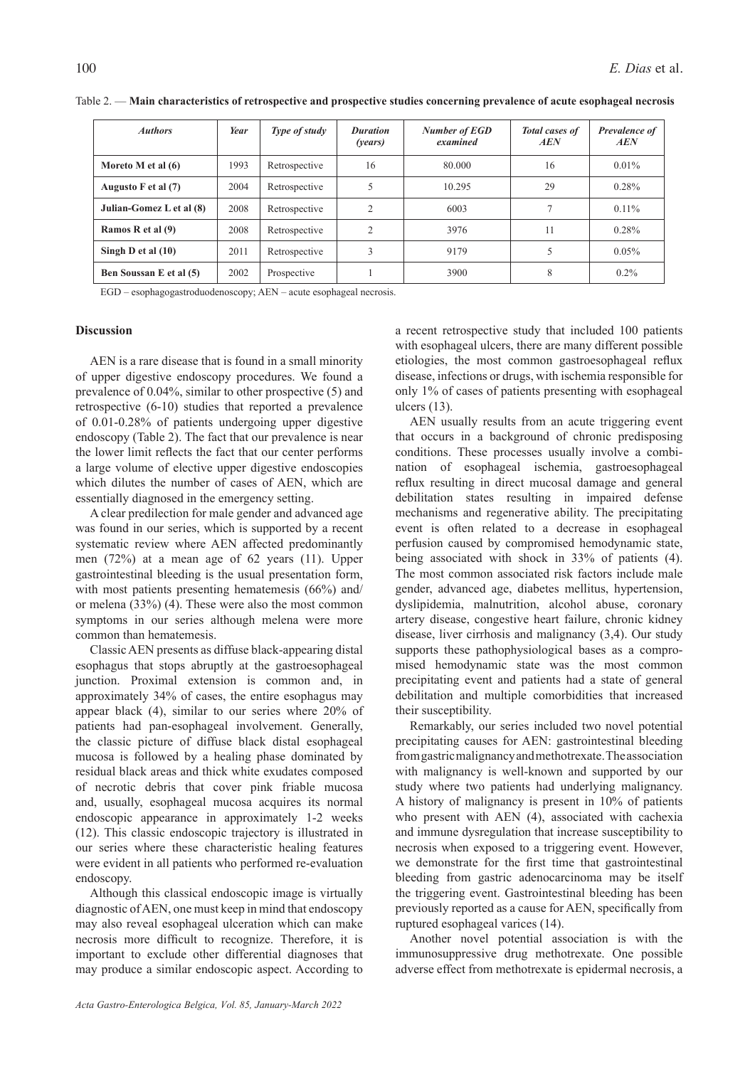| <b>Authors</b>           | Year | Type of study | <b>Duration</b><br>( <i>vears</i> ) | <b>Number of EGD</b><br>examined | <b>Total cases of</b><br><b>AEN</b> | Prevalence of<br>AEN |
|--------------------------|------|---------------|-------------------------------------|----------------------------------|-------------------------------------|----------------------|
| Moreto M et al (6)       | 1993 | Retrospective | 16                                  | 80.000                           | 16                                  | $0.01\%$             |
| Augusto F et al (7)      | 2004 | Retrospective | 5                                   | 10.295                           | 29                                  | 0.28%                |
| Julian-Gomez L et al (8) | 2008 | Retrospective | 2                                   | 6003                             | ┑                                   | $0.11\%$             |
| Ramos R et al (9)        | 2008 | Retrospective | $\overline{c}$                      | 3976                             | 11                                  | 0.28%                |
| Singh D et al $(10)$     | 2011 | Retrospective | 3                                   | 9179                             |                                     | $0.05\%$             |
| Ben Soussan E et al (5)  | 2002 | Prospective   |                                     | 3900                             | 8                                   | $0.2\%$              |

Table 2. — **Main characteristics of retrospective and prospective studies concerning prevalence of acute esophageal necrosis** 

EGD – esophagogastroduodenoscopy; AEN – acute esophageal necrosis.

## **Discussion**

AEN is a rare disease that is found in a small minority of upper digestive endoscopy procedures. We found a prevalence of 0.04%, similar to other prospective (5) and retrospective (6-10) studies that reported a prevalence of 0.01-0.28% of patients undergoing upper digestive endoscopy (Table 2). The fact that our prevalence is near the lower limit reflects the fact that our center performs a large volume of elective upper digestive endoscopies which dilutes the number of cases of AEN, which are essentially diagnosed in the emergency setting.

A clear predilection for male gender and advanced age was found in our series, which is supported by a recent systematic review where AEN affected predominantly men (72%) at a mean age of 62 years (11). Upper gastrointestinal bleeding is the usual presentation form, with most patients presenting hematemesis (66%) and/ or melena (33%) (4). These were also the most common symptoms in our series although melena were more common than hematemesis.

Classic AEN presents as diffuse black-appearing distal esophagus that stops abruptly at the gastroesophageal junction. Proximal extension is common and, in approximately 34% of cases, the entire esophagus may appear black (4), similar to our series where 20% of patients had pan-esophageal involvement. Generally, the classic picture of diffuse black distal esophageal mucosa is followed by a healing phase dominated by residual black areas and thick white exudates composed of necrotic debris that cover pink friable mucosa and, usually, esophageal mucosa acquires its normal endoscopic appearance in approximately 1-2 weeks (12). This classic endoscopic trajectory is illustrated in our series where these characteristic healing features were evident in all patients who performed re-evaluation endoscopy.

Although this classical endoscopic image is virtually diagnostic of AEN, one must keep in mind that endoscopy may also reveal esophageal ulceration which can make necrosis more difficult to recognize. Therefore, it is important to exclude other differential diagnoses that may produce a similar endoscopic aspect. According to a recent retrospective study that included 100 patients with esophageal ulcers, there are many different possible etiologies, the most common gastroesophageal reflux disease, infections or drugs, with ischemia responsible for only 1% of cases of patients presenting with esophageal ulcers (13).

AEN usually results from an acute triggering event that occurs in a background of chronic predisposing conditions. These processes usually involve a combination of esophageal ischemia, gastroesophageal reflux resulting in direct mucosal damage and general debilitation states resulting in impaired defense mechanisms and regenerative ability. The precipitating event is often related to a decrease in esophageal perfusion caused by compromised hemodynamic state, being associated with shock in 33% of patients (4). The most common associated risk factors include male gender, advanced age, diabetes mellitus, hypertension, dyslipidemia, malnutrition, alcohol abuse, coronary artery disease, congestive heart failure, chronic kidney disease, liver cirrhosis and malignancy (3,4). Our study supports these pathophysiological bases as a compromised hemodynamic state was the most common precipitating event and patients had a state of general debilitation and multiple comorbidities that increased their susceptibility.

Remarkably, our series included two novel potential precipitating causes for AEN: gastrointestinal bleeding from gastric malignancy and methotrexate. The association with malignancy is well-known and supported by our study where two patients had underlying malignancy. A history of malignancy is present in 10% of patients who present with AEN (4), associated with cachexia and immune dysregulation that increase susceptibility to necrosis when exposed to a triggering event. However, we demonstrate for the first time that gastrointestinal bleeding from gastric adenocarcinoma may be itself the triggering event. Gastrointestinal bleeding has been previously reported as a cause for AEN, specifically from ruptured esophageal varices (14).

Another novel potential association is with the immunosuppressive drug methotrexate. One possible adverse effect from methotrexate is epidermal necrosis, a